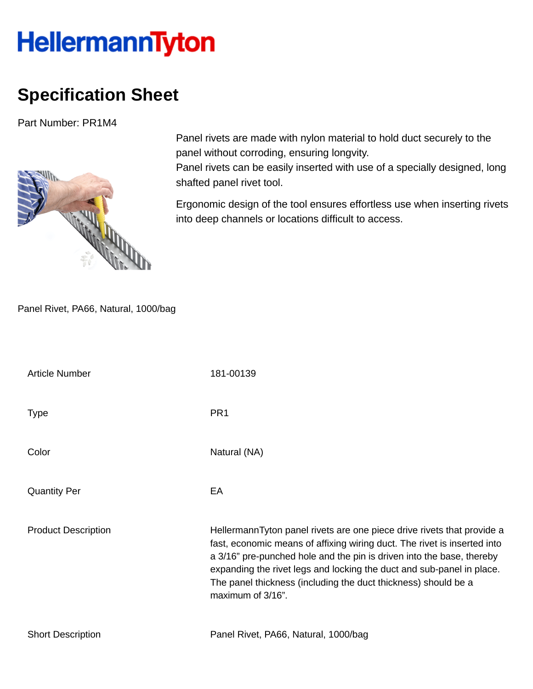## **HellermannTyton**

## **Specification Sheet**

Part Number: PR1M4



Panel rivets are made with nylon material to hold duct securely to the panel without corroding, ensuring longvity.

Panel rivets can be easily inserted with use of a specially designed, long shafted panel rivet tool.

Ergonomic design of the tool ensures effortless use when inserting rivets into deep channels or locations difficult to access.

Panel Rivet, PA66, Natural, 1000/bag

| <b>Article Number</b>      | 181-00139                                                                                                                                                                                                                                                                                                                                                                                   |
|----------------------------|---------------------------------------------------------------------------------------------------------------------------------------------------------------------------------------------------------------------------------------------------------------------------------------------------------------------------------------------------------------------------------------------|
| <b>Type</b>                | PR <sub>1</sub>                                                                                                                                                                                                                                                                                                                                                                             |
| Color                      | Natural (NA)                                                                                                                                                                                                                                                                                                                                                                                |
| <b>Quantity Per</b>        | EA                                                                                                                                                                                                                                                                                                                                                                                          |
| <b>Product Description</b> | HellermannTyton panel rivets are one piece drive rivets that provide a<br>fast, economic means of affixing wiring duct. The rivet is inserted into<br>a 3/16" pre-punched hole and the pin is driven into the base, thereby<br>expanding the rivet legs and locking the duct and sub-panel in place.<br>The panel thickness (including the duct thickness) should be a<br>maximum of 3/16". |
| <b>Short Description</b>   | Panel Rivet, PA66, Natural, 1000/bag                                                                                                                                                                                                                                                                                                                                                        |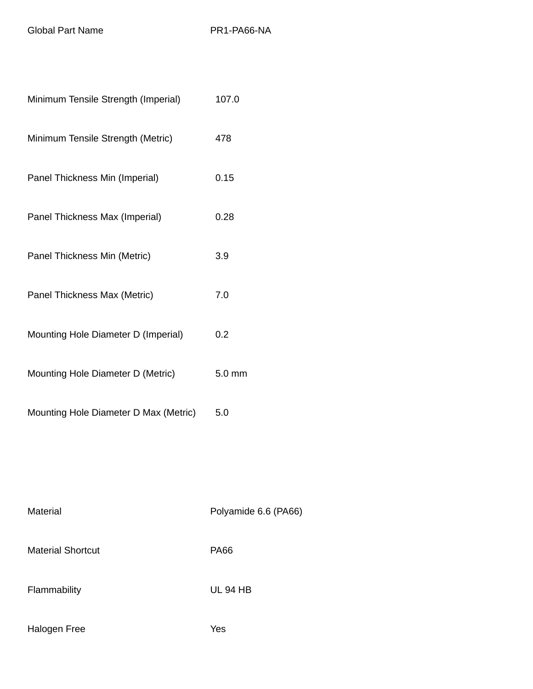Global Part Name PR1-PA66-NA

| Minimum Tensile Strength (Imperial)   | 107.0            |
|---------------------------------------|------------------|
| Minimum Tensile Strength (Metric)     | 478              |
| Panel Thickness Min (Imperial)        | 0.15             |
| Panel Thickness Max (Imperial)        | 0.28             |
| Panel Thickness Min (Metric)          | 3.9              |
| Panel Thickness Max (Metric)          | 7.0              |
| Mounting Hole Diameter D (Imperial)   | 0.2              |
| Mounting Hole Diameter D (Metric)     | $5.0 \text{ mm}$ |
| Mounting Hole Diameter D Max (Metric) | 5.0              |

| Material                 | Polyamide 6.6 (PA66) |
|--------------------------|----------------------|
| <b>Material Shortcut</b> | <b>PA66</b>          |
| Flammability             | <b>UL 94 HB</b>      |
| Halogen Free             | Yes                  |